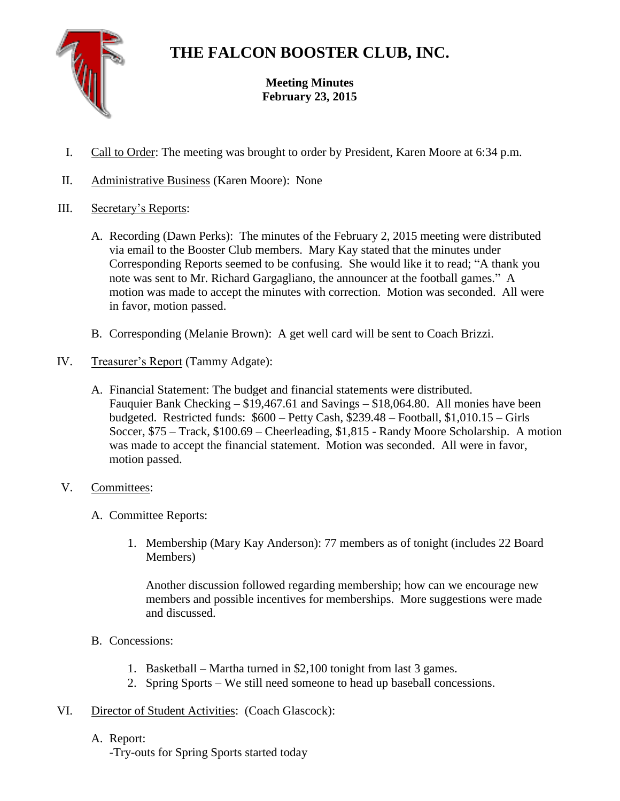

## **THE FALCON BOOSTER CLUB, INC.**

**Meeting Minutes February 23, 2015**

- I. Call to Order: The meeting was brought to order by President, Karen Moore at 6:34 p.m.
- II. Administrative Business (Karen Moore): None
- III. Secretary's Reports:
	- A. Recording (Dawn Perks): The minutes of the February 2, 2015 meeting were distributed via email to the Booster Club members. Mary Kay stated that the minutes under Corresponding Reports seemed to be confusing. She would like it to read; "A thank you note was sent to Mr. Richard Gargagliano, the announcer at the football games." A motion was made to accept the minutes with correction. Motion was seconded. All were in favor, motion passed.
	- B. Corresponding (Melanie Brown): A get well card will be sent to Coach Brizzi.
- IV. Treasurer's Report (Tammy Adgate):
	- A. Financial Statement: The budget and financial statements were distributed. Fauquier Bank Checking – \$19,467.61 and Savings – \$18,064.80. All monies have been budgeted. Restricted funds: \$600 – Petty Cash, \$239.48 – Football, \$1,010.15 – Girls Soccer, \$75 – Track, \$100.69 – Cheerleading, \$1,815 - Randy Moore Scholarship. A motion was made to accept the financial statement. Motion was seconded. All were in favor, motion passed.
- V. Committees:
	- A. Committee Reports:
		- 1. Membership (Mary Kay Anderson): 77 members as of tonight (includes 22 Board Members)

Another discussion followed regarding membership; how can we encourage new members and possible incentives for memberships. More suggestions were made and discussed.

- B. Concessions:
	- 1. Basketball Martha turned in \$2,100 tonight from last 3 games.
	- 2. Spring Sports We still need someone to head up baseball concessions.
- VI. Director of Student Activities: (Coach Glascock):
	- A. Report:

-Try-outs for Spring Sports started today